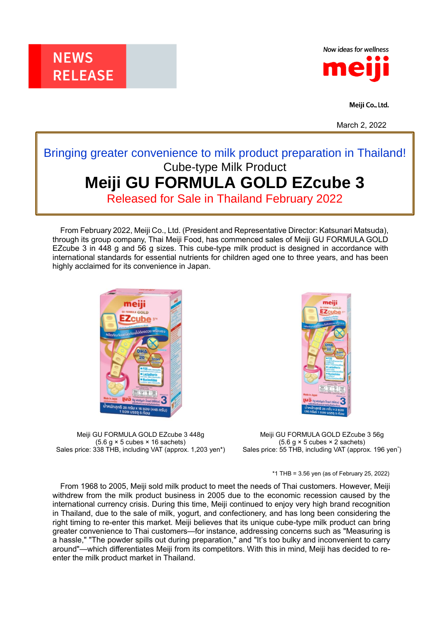



Meiji Co., Ltd.

March 2, 2022

## Bringing greater convenience to milk product preparation in Thailand! Cube-type Milk Product **Meiji GU FORMULA GOLD EZcube 3**

Released for Sale in Thailand February 2022

From February 2022, Meiji Co., Ltd. (President and Representative Director: Katsunari Matsuda), through its group company, Thai Meiji Food, has commenced sales of Meiji GU FORMULA GOLD EZcube 3 in 448 g and 56 g sizes. This cube-type milk product is designed in accordance with international standards for essential nutrients for children aged one to three years, and has been highly acclaimed for its convenience in Japan.



meili

Meiji GU FORMULA GOLD EZcube 3 448g  $(5.6 g \times 5$  cubes  $\times$  16 sachets) Sales price: 338 THB, including VAT (approx. 1,203 yen\*)

Meiji GU FORMULA GOLD EZcube 3 56g  $(5.6 g \times 5$  cubes  $\times$  2 sachets) Sales price: 55 THB, including VAT (approx. 196 yen<sup>\*</sup>)

\*1 THB = 3.56 yen (as of February 25, 2022)

From 1968 to 2005, Meiji sold milk product to meet the needs of Thai customers. However, Meiji withdrew from the milk product business in 2005 due to the economic recession caused by the international currency crisis. During this time, Meiji continued to enjoy very high brand recognition in Thailand, due to the sale of milk, yogurt, and confectionery, and has long been considering the right timing to re-enter this market. Meiji believes that its unique cube-type milk product can bring greater convenience to Thai customers—for instance, addressing concerns such as "Measuring is a hassle," "The powder spills out during preparation," and "It's too bulky and inconvenient to carry around"—which differentiates Meiji from its competitors. With this in mind, Meiji has decided to reenter the milk product market in Thailand.